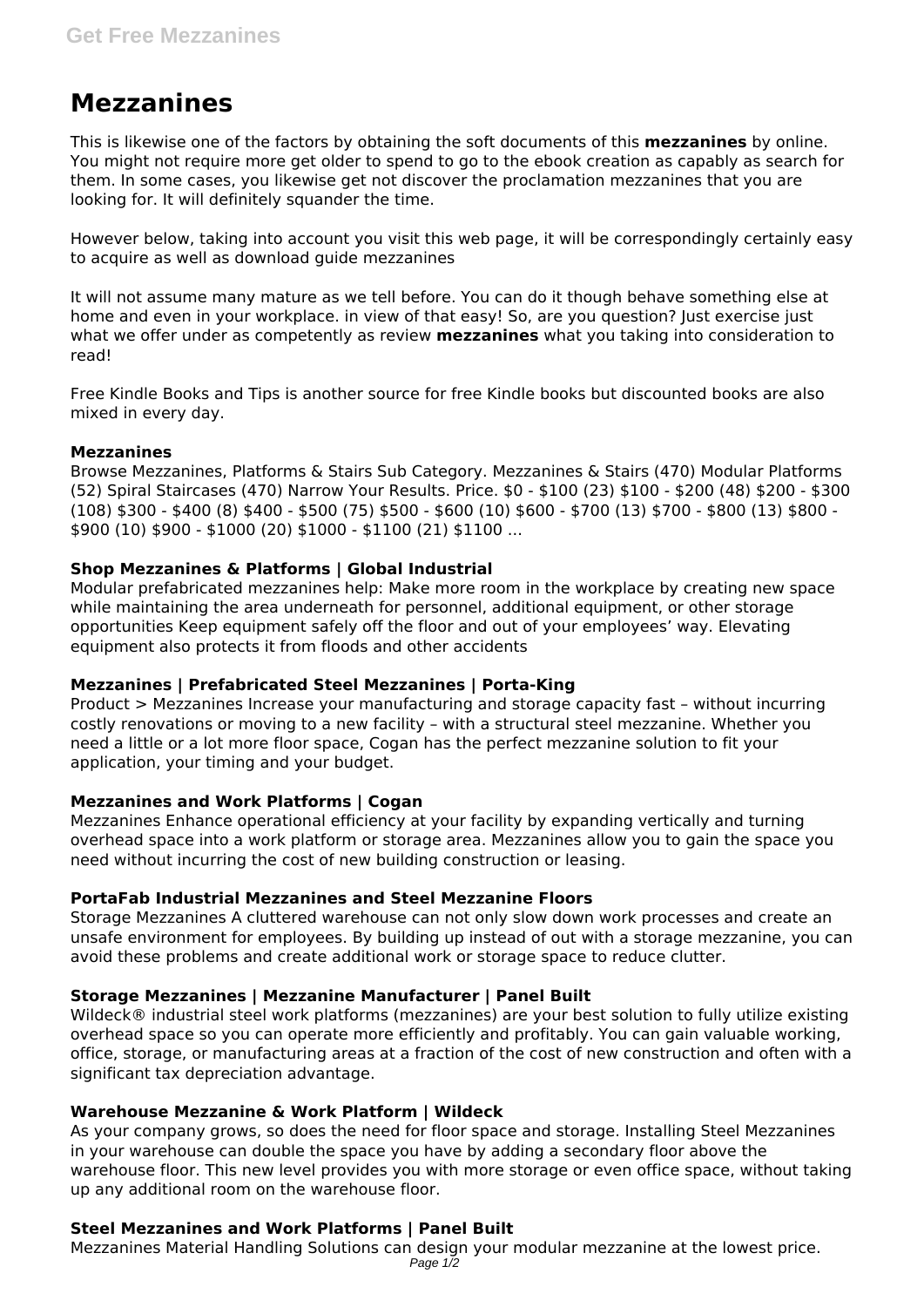# **Mezzanines**

This is likewise one of the factors by obtaining the soft documents of this **mezzanines** by online. You might not require more get older to spend to go to the ebook creation as capably as search for them. In some cases, you likewise get not discover the proclamation mezzanines that you are looking for. It will definitely squander the time.

However below, taking into account you visit this web page, it will be correspondingly certainly easy to acquire as well as download guide mezzanines

It will not assume many mature as we tell before. You can do it though behave something else at home and even in your workplace. in view of that easy! So, are you question? Just exercise just what we offer under as competently as review **mezzanines** what you taking into consideration to read!

Free Kindle Books and Tips is another source for free Kindle books but discounted books are also mixed in every day.

#### **Mezzanines**

Browse Mezzanines, Platforms & Stairs Sub Category. Mezzanines & Stairs (470) Modular Platforms (52) Spiral Staircases (470) Narrow Your Results. Price. \$0 - \$100 (23) \$100 - \$200 (48) \$200 - \$300 (108) \$300 - \$400 (8) \$400 - \$500 (75) \$500 - \$600 (10) \$600 - \$700 (13) \$700 - \$800 (13) \$800 - \$900 (10) \$900 - \$1000 (20) \$1000 - \$1100 (21) \$1100 ...

# **Shop Mezzanines & Platforms | Global Industrial**

Modular prefabricated mezzanines help: Make more room in the workplace by creating new space while maintaining the area underneath for personnel, additional equipment, or other storage opportunities Keep equipment safely off the floor and out of your employees' way. Elevating equipment also protects it from floods and other accidents

# **Mezzanines | Prefabricated Steel Mezzanines | Porta-King**

Product > Mezzanines Increase your manufacturing and storage capacity fast – without incurring costly renovations or moving to a new facility – with a structural steel mezzanine. Whether you need a little or a lot more floor space, Cogan has the perfect mezzanine solution to fit your application, your timing and your budget.

# **Mezzanines and Work Platforms | Cogan**

Mezzanines Enhance operational efficiency at your facility by expanding vertically and turning overhead space into a work platform or storage area. Mezzanines allow you to gain the space you need without incurring the cost of new building construction or leasing.

# **PortaFab Industrial Mezzanines and Steel Mezzanine Floors**

Storage Mezzanines A cluttered warehouse can not only slow down work processes and create an unsafe environment for employees. By building up instead of out with a storage mezzanine, you can avoid these problems and create additional work or storage space to reduce clutter.

# **Storage Mezzanines | Mezzanine Manufacturer | Panel Built**

Wildeck® industrial steel work platforms (mezzanines) are your best solution to fully utilize existing overhead space so you can operate more efficiently and profitably. You can gain valuable working, office, storage, or manufacturing areas at a fraction of the cost of new construction and often with a significant tax depreciation advantage.

# **Warehouse Mezzanine & Work Platform | Wildeck**

As your company grows, so does the need for floor space and storage. Installing Steel Mezzanines in your warehouse can double the space you have by adding a secondary floor above the warehouse floor. This new level provides you with more storage or even office space, without taking up any additional room on the warehouse floor.

# **Steel Mezzanines and Work Platforms | Panel Built**

Mezzanines Material Handling Solutions can design your modular mezzanine at the lowest price. Page  $1/2$